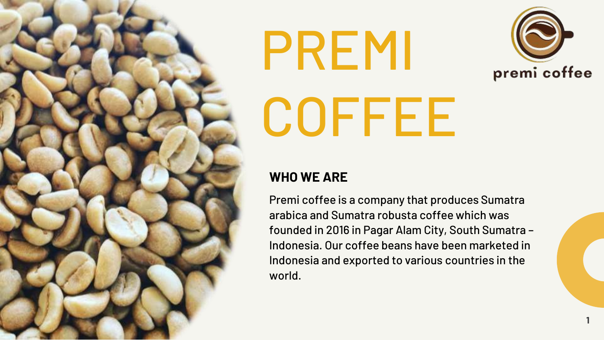





**1**

#### **WHO WE ARE**

Premi coffee is a company that produces Sumatra arabica and Sumatra robusta coffee which was founded in 2016 in Pagar Alam City, South Sumatra – Indonesia. Our coffee beans have been marketed in Indonesia and exported to various countries in the world.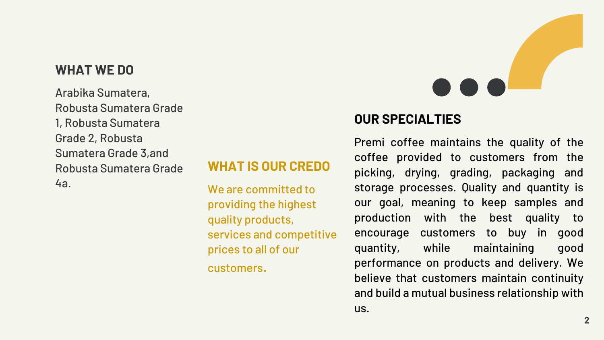#### **WHAT WE DO**

Arabika Sumatera, Robusta Sumatera Grade 1, Robusta Sumatera Grade 2, Robusta Sumatera Grade 3,and Robusta Sumatera Grade 4a.

#### **WHAT IS OUR CREDO**

We are committed to providing the highest quality products, services and competitive prices to all of our customers.

#### **OUR SPECIALTIES**

Premi coffee maintains the quality of the coffee provided to customers from the picking, drying, grading, packaging and storage processes. Quality and quantity is our goal, meaning to keep samples and production with the best quality to encourage customers to buy in good quantity, while maintaining good performance on products and delivery. We believe that customers maintain continuity and build a mutual business relationship with us.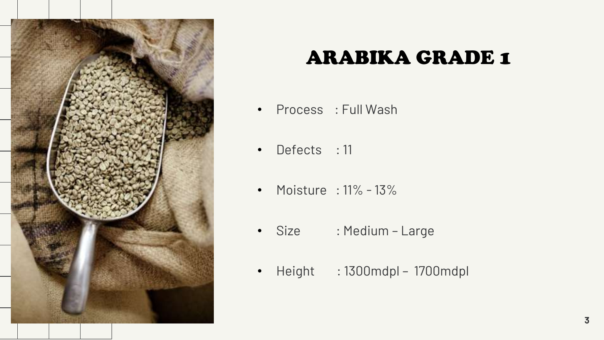

### ARABIKA GRADE 1

- Process : Full Wash
- Defects : 11
- Moisture : 11% 13%
- Size : Medium Large
- Height : 1300mdpl 1700mdpl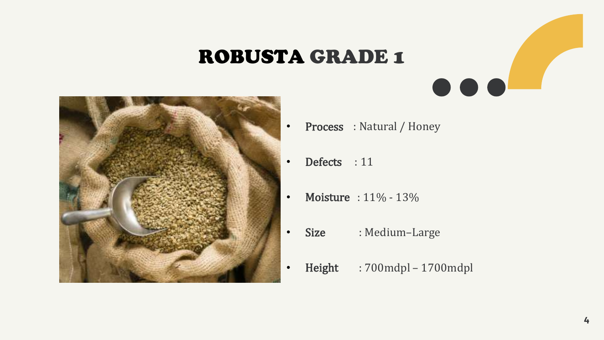### ROBUSTA GRADE 1



• Process: Natural / Honey

 $\bullet\bullet\bullet$ 

- Defects : 11
- Moisture :  $11\% 13\%$
- Size : Medium–Large
- Height : 700mdpl 1700mdpl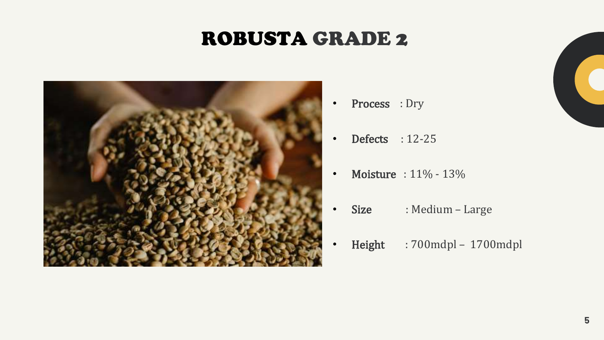### ROBUSTA GRADE 2



- Process : Dry
- Defects : 12-25
- Moisture : 11% 13%
- Size : Medium Large
- Height : 700mdpl 1700mdpl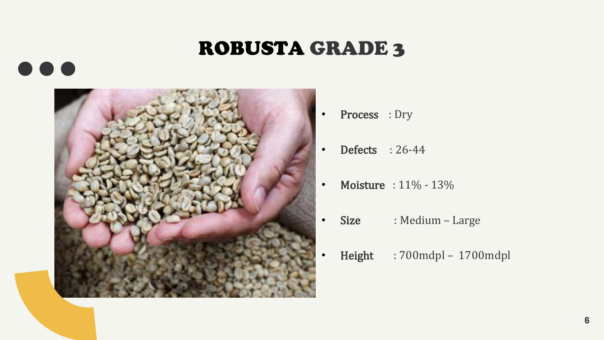### ROBUSTA GRADE 3

## $\bullet\bullet\bullet$



- Process : Dry
- Defects : 26-44
- Moisture : 11% 13%
- Size : Medium Large
- Height : 700mdpl 1700mdpl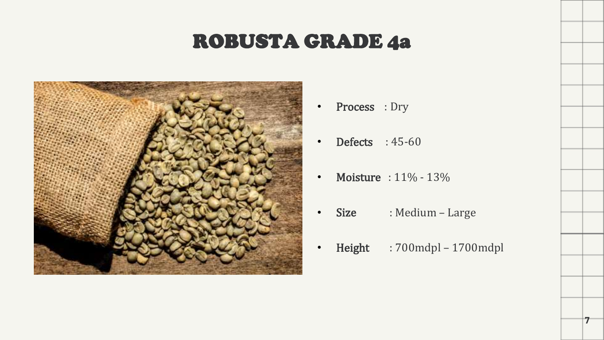### ROBUSTA GRADE 4a



- Process : Dry
- Defects : 45-60
- Moisture : 11% 13%
- Size : Medium Large
- Height : 700mdpl 1700mdpl

**7**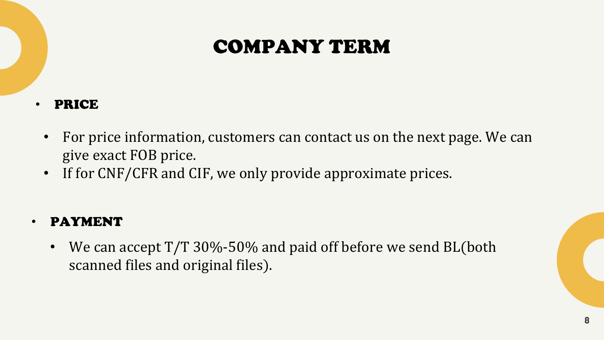### COMPANY TERM

#### • PRICE

- For price information, customers can contact us on the next page. We can give exact FOB price.
- If for CNF/CFR and CIF, we only provide approximate prices.

#### **PAYMENT**

• We can accept T/T 30%-50% and paid off before we send BL(both scanned files and original files).